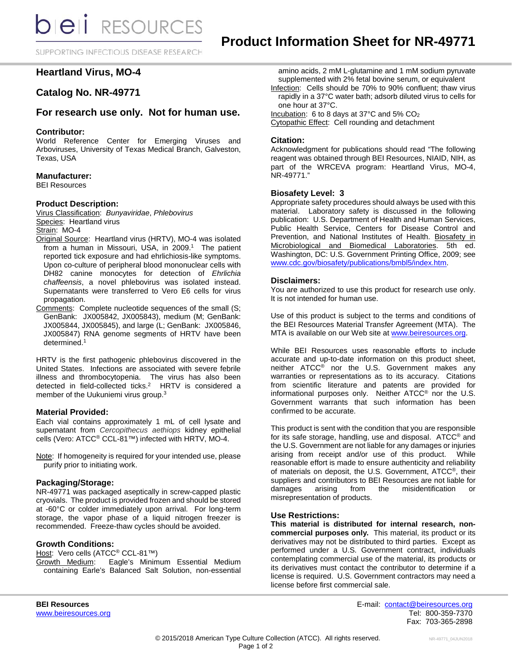SUPPORTING INFECTIOUS DISEASE RESEARCH

# **Heartland Virus, MO-4**

# **Catalog No. NR-49771**

# **For research use only. Not for human use.**

## **Contributor:**

World Reference Center for Emerging Viruses and Arboviruses, University of Texas Medical Branch, Galveston, Texas, USA

## **Manufacturer:**

BEI Resources

## **Product Description:**

Virus Classification: *Bunyaviridae*, *Phlebovirus* Species: Heartland virus Strain: MO-4

- Original Source: Heartland virus (HRTV), MO-4 was isolated from a human in Missouri, USA, in 2009.<sup>1</sup> The patient reported tick exposure and had ehrlichiosis-like symptoms. Upon co-culture of peripheral blood mononuclear cells with DH82 canine monocytes for detection of *Ehrlichia chaffeensis*, a novel phlebovirus was isolated instead. Supernatants were transferred to Vero E6 cells for virus propagation.
- Comments: Complete nucleotide sequences of the small (S; GenBank: JX005842, JX005843), medium (M; GenBank: JX005844, JX005845), and large (L; GenBank: JX005846, JX005847) RNA genome segments of HRTV have been determined.1

HRTV is the first pathogenic phlebovirus discovered in the United States. Infections are associated with severe febrile illness and thrombocytopenia. The virus has also been detected in field-collected ticks.<sup>2</sup> HRTV is considered a member of the Uukuniemi virus group.<sup>3</sup>

#### **Material Provided:**

Each vial contains approximately 1 mL of cell lysate and supernatant from *Cercopithecus aethiops* kidney epithelial cells (Vero: ATCC® CCL-81™) infected with HRTV, MO-4.

Note: If homogeneity is required for your intended use, please purify prior to initiating work.

#### **Packaging/Storage:**

NR-49771 was packaged aseptically in screw-capped plastic cryovials. The product is provided frozen and should be stored at -60°C or colder immediately upon arrival. For long-term storage, the vapor phase of a liquid nitrogen freezer is recommended. Freeze-thaw cycles should be avoided.

## **Growth Conditions:**

Host: Vero cells (ATCC<sup>®</sup> CCL-81™)<br>Growth Medium: Eagle's Minim Eagle's Minimum Essential Medium containing Earle's Balanced Salt Solution, non-essential amino acids, 2 mM L-glutamine and 1 mM sodium pyruvate supplemented with 2% fetal bovine serum, or equivalent

Infection: Cells should be 70% to 90% confluent; thaw virus rapidly in a 37°C water bath; adsorb diluted virus to cells for one hour at 37°C.

Incubation: 6 to 8 days at 37°C and 5% CO2

Cytopathic Effect: Cell rounding and detachment

## **Citation:**

Acknowledgment for publications should read "The following reagent was obtained through BEI Resources, NIAID, NIH, as part of the WRCEVA program: Heartland Virus, MO-4, NR-49771."

## **Biosafety Level: 3**

Appropriate safety procedures should always be used with this material. Laboratory safety is discussed in the following publication: U.S. Department of Health and Human Services, Public Health Service, Centers for Disease Control and Prevention, and National Institutes of Health. Biosafety in Microbiological and Biomedical Laboratories. 5th ed. Washington, DC: U.S. Government Printing Office, 2009; see [www.cdc.gov/biosafety/publications/bmbl5/index.htm.](http://www.cdc.gov/biosafety/publications/bmbl5/index.htm)

#### **Disclaimers:**

You are authorized to use this product for research use only. It is not intended for human use.

Use of this product is subject to the terms and conditions of the BEI Resources Material Transfer Agreement (MTA). The MTA is available on our Web site at [www.beiresources.org.](http://www.beiresources.org/)

While BEI Resources uses reasonable efforts to include accurate and up-to-date information on this product sheet, neither ATCC<sup>®</sup> nor the U.S. Government makes any warranties or representations as to its accuracy. Citations from scientific literature and patents are provided for informational purposes only. Neither ATCC® nor the U.S. Government warrants that such information has been confirmed to be accurate.

This product is sent with the condition that you are responsible for its safe storage, handling, use and disposal. ATCC® and the U.S. Government are not liable for any damages or injuries arising from receipt and/or use of this product. While reasonable effort is made to ensure authenticity and reliability of materials on deposit, the U.S. Government, ATCC®, their suppliers and contributors to BEI Resources are not liable for<br>damages arising from the misidentification or damages arising from the misidentification or misrepresentation of products.

#### **Use Restrictions:**

**This material is distributed for internal research, noncommercial purposes only.** This material, its product or its derivatives may not be distributed to third parties. Except as performed under a U.S. Government contract, individuals contemplating commercial use of the material, its products or its derivatives must contact the contributor to determine if a license is required. U.S. Government contractors may need a license before first commercial sale.

**BEI Resources** E-mail: [contact@beiresources.org](mailto:contact@beiresources.org) Fax: 703-365-2898